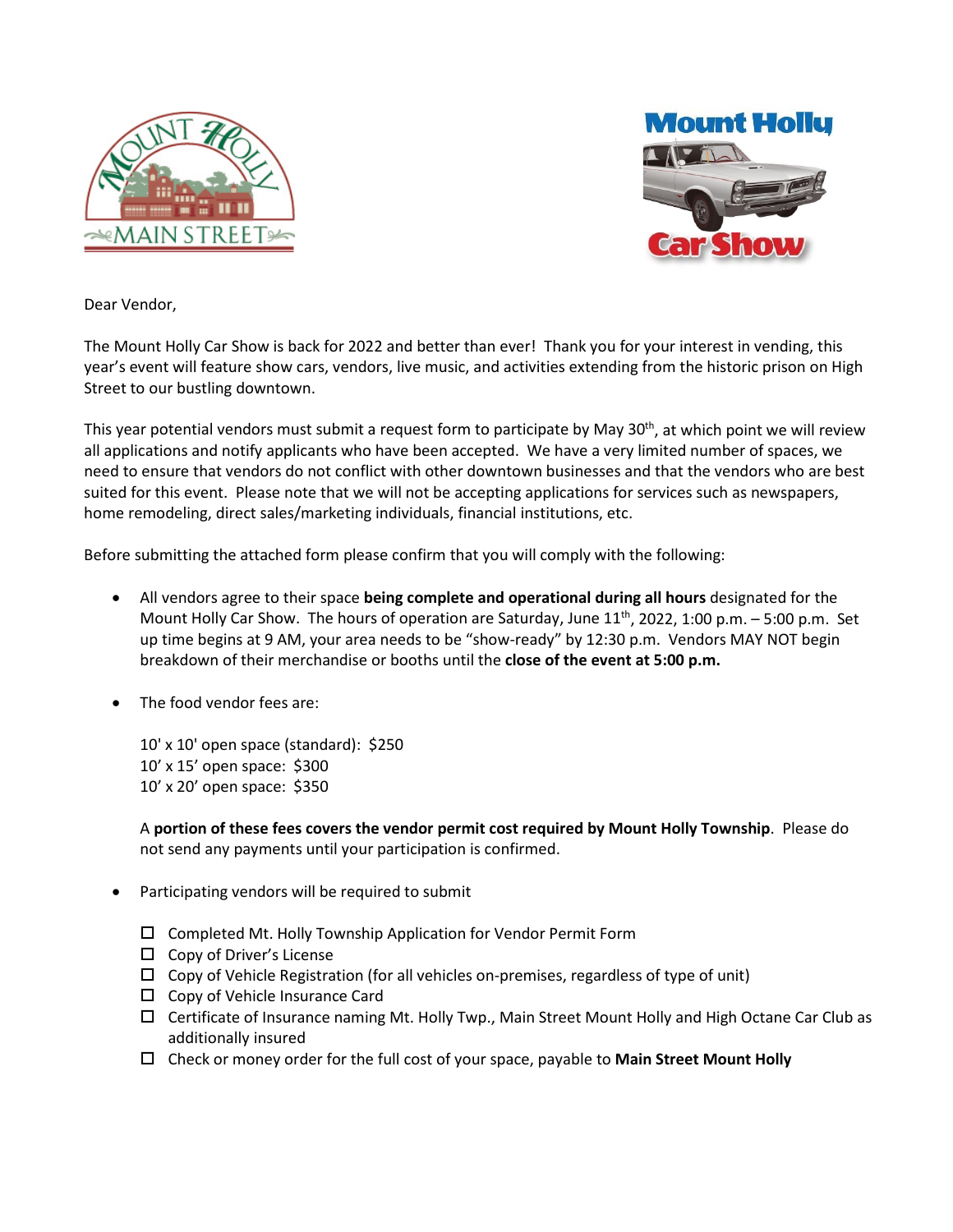



Dear Vendor,

The Mount Holly Car Show is back for 2022 and better than ever! Thank you for your interest in vending, this year's event will feature show cars, vendors, live music, and activities extending from the historic prison on High Street to our bustling downtown.

This year potential vendors must submit a request form to participate by May 30<sup>th</sup>, at which point we will review all applications and notify applicants who have been accepted. We have a very limited number of spaces, we need to ensure that vendors do not conflict with other downtown businesses and that the vendors who are best suited for this event. Please note that we will not be accepting applications for services such as newspapers, home remodeling, direct sales/marketing individuals, financial institutions, etc.

Before submitting the attached form please confirm that you will comply with the following:

- All vendors agree to their space **being complete and operational during all hours** designated for the Mount Holly Car Show. The hours of operation are Saturday, June  $11^{th}$ , 2022, 1:00 p.m. – 5:00 p.m. Set up time begins at 9 AM, your area needs to be "show-ready" by 12:30 p.m. Vendors MAY NOT begin breakdown of their merchandise or booths until the **close of the event at 5:00 p.m.**
- The food vendor fees are:

10' x 10' open space (standard): \$250 10' x 15' open space: \$300 10' x 20' open space: \$350

A **portion of these fees covers the vendor permit cost required by Mount Holly Township**. Please do not send any payments until your participation is confirmed.

- Participating vendors will be required to submit
	- $\square$  Completed Mt. Holly Township Application for Vendor Permit Form
	- $\Box$  Copy of Driver's License
	- $\Box$  Copy of Vehicle Registration (for all vehicles on-premises, regardless of type of unit)
	- $\square$  Copy of Vehicle Insurance Card
	- $\Box$  Certificate of Insurance naming Mt. Holly Twp., Main Street Mount Holly and High Octane Car Club as additionally insured
	- Check or money order for the full cost of your space, payable to **Main Street Mount Holly**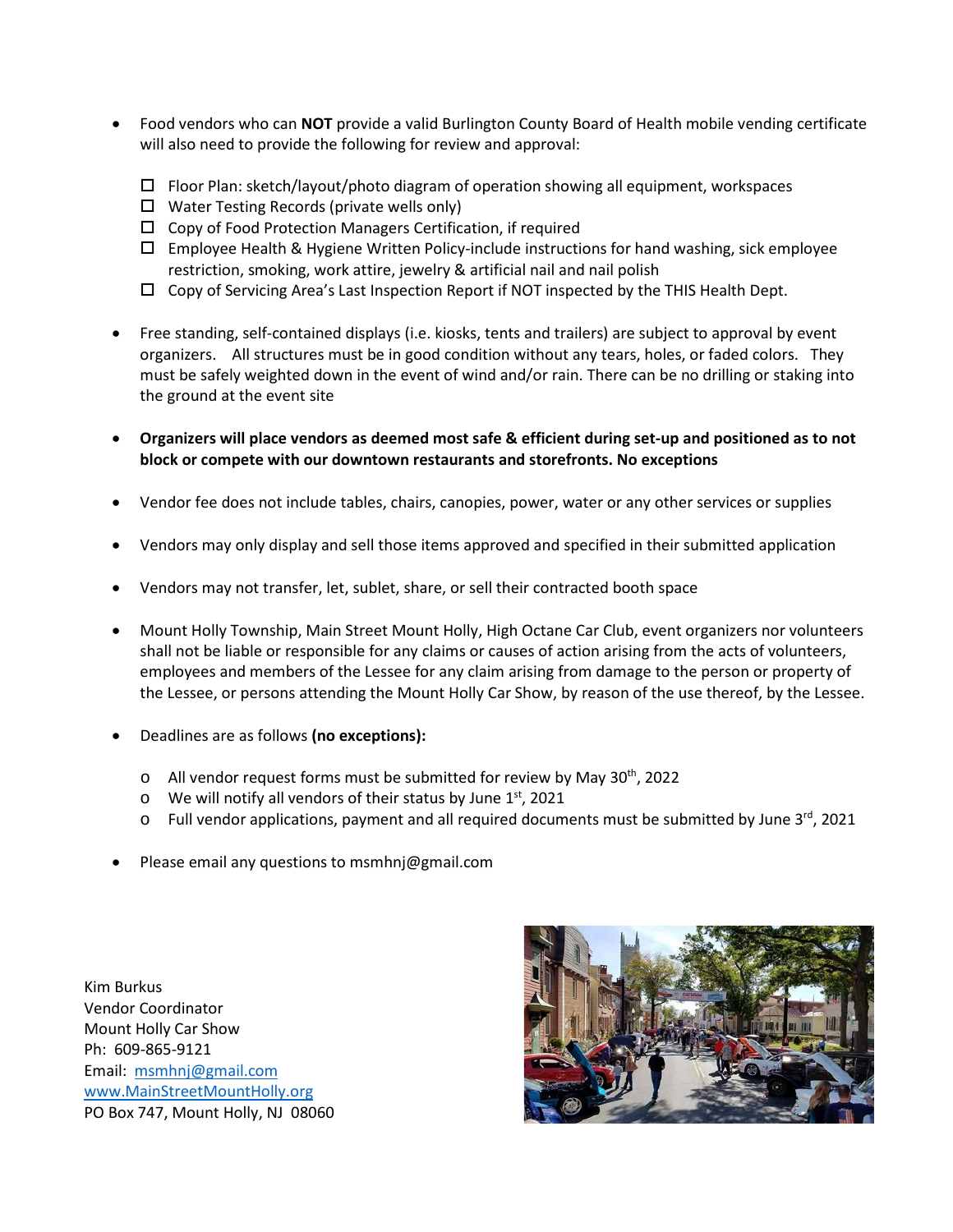- Food vendors who can **NOT** provide a valid Burlington County Board of Health mobile vending certificate will also need to provide the following for review and approval:
	- $\Box$  Floor Plan: sketch/layout/photo diagram of operation showing all equipment, workspaces
	- $\Box$  Water Testing Records (private wells only)
	- $\Box$  Copy of Food Protection Managers Certification, if required
	- $\Box$  Employee Health & Hygiene Written Policy-include instructions for hand washing, sick employee restriction, smoking, work attire, jewelry & artificial nail and nail polish
	- $\Box$  Copy of Servicing Area's Last Inspection Report if NOT inspected by the THIS Health Dept.
- Free standing, self-contained displays (i.e. kiosks, tents and trailers) are subject to approval by event organizers. All structures must be in good condition without any tears, holes, or faded colors. They must be safely weighted down in the event of wind and/or rain. There can be no drilling or staking into the ground at the event site
- **Organizers will place vendors as deemed most safe & efficient during set-up and positioned as to not block or compete with our downtown restaurants and storefronts. No exceptions**
- Vendor fee does not include tables, chairs, canopies, power, water or any other services or supplies
- Vendors may only display and sell those items approved and specified in their submitted application
- Vendors may not transfer, let, sublet, share, or sell their contracted booth space
- Mount Holly Township, Main Street Mount Holly, High Octane Car Club, event organizers nor volunteers shall not be liable or responsible for any claims or causes of action arising from the acts of volunteers, employees and members of the Lessee for any claim arising from damage to the person or property of the Lessee, or persons attending the Mount Holly Car Show, by reason of the use thereof, by the Lessee.
- Deadlines are as follows **(no exceptions):**
	- $\circ$  All vendor request forms must be submitted for review by May 30<sup>th</sup>, 2022
	- $\circ$  We will notify all vendors of their status by June 1st, 2021
	- $\circ$  Full vendor applications, payment and all required documents must be submitted by June 3<sup>rd</sup>, 2021
- Please email any questions to msmhnj@gmail.com

Kim Burkus Vendor Coordinator Mount Holly Car Show Ph: 609-865-9121 Email: [msmhnj@gmail.com](mailto:msmhnj@gmail.com) [www.MainStreetMountHolly.o](http://www.mainstreetmountholly./)rg PO Box 747, Mount Holly, NJ 08060